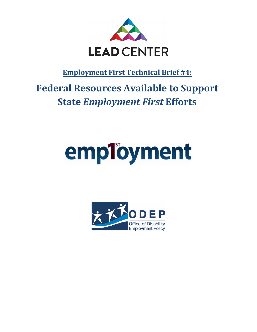

**Employment First Technical Brief #4:**

# **Federal Resources Available to Support State** *Employment First* **Efforts**

# employment

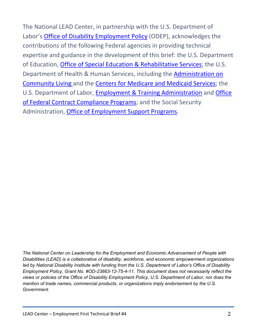The National LEAD Center, in partnership with the U.S. Department of Labor's [Office of Disability Employment Policy](http://www.dol.gov/odep) (ODEP), acknowledges the contributions of the following Federal agencies in providing technical expertise and guidance in the development of this brief: the U.S. Department of Education, [Office of Special Education & Rehabilitative Services;](http://www2.ed.gov/about/offices/list/osers/index.html) the U.S. Department of Health & Human Services, including the [Administration on](http://www.acl.gov/)  [Community Living](http://www.acl.gov/) and the [Centers for Medicare and Medicaid Services;](http://cms.hhs.gov/) the U.S. Department of Labor, [Employment & Training Administration](http://www.doleta.gov/) and [Office](http://www.dol.gov/ofccp/)  [of Federal Contract Compliance Programs;](http://www.dol.gov/ofccp/) and the Social Security Administration, [Office of Employment Support Programs.](http://www.ssa.gov/work/)

*The National Center on Leadership for the Employment and Economic Advancement of People with Disabilities (LEAD) is a collaborative of disability, workforce, and economic empowerment organizations led by National Disability Institute with funding from the U.S. Department of Labor's Office of Disability Employment Policy, Grant No. #OD-23863-12-75-4-11. This document does not necessarily reflect the views or policies of the Office of Disability Employment Policy, U.S. Department of Labor, nor does the mention of trade names, commercial products, or organizations imply endorsement by the U.S. Government.*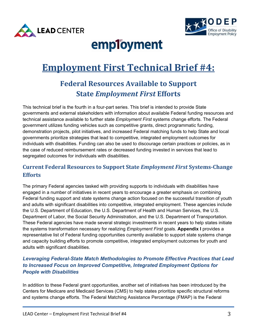



# employment

# **Employment First Technical Brief #4:**

# **Federal Resources Available to Support State** *Employment First* **Efforts**

This technical brief is the fourth in a four-part series. This brief is intended to provide State governments and external stakeholders with information about available Federal funding resources and technical assistance available to further state *Employment First* systems change efforts. The Federal government utilizes funding vehicles such as competitive grants, direct programmatic funding, demonstration projects, pilot initiatives, and increased Federal matching funds to help State and local governments prioritize strategies that lead to competitive, integrated employment outcomes for individuals with disabilities. Funding can also be used to discourage certain practices or policies, as in the case of reduced reimbursement rates or decreased funding invested in services that lead to segregated outcomes for individuals with disabilities.

### **Current Federal Resources to Support State** *Employment First* **Systems-Change Efforts**

The primary Federal agencies tasked with providing supports to individuals with disabilities have engaged in a number of initiatives in recent years to encourage a greater emphasis on combining Federal funding support and state systems change action focused on the successful transition of youth and adults with significant disabilities into competitive, integrated employment. These agencies include the U.S. Department of Education, the U.S. Department of Health and Human Services, the U.S. Department of Labor, the Social Security Administration, and the U.S. Department of Transportation. These Federal agencies have made several strategic investments in recent years to help states initiate the systems transformation necessary for realizing *Employment First* goals. **Appendix I** provides a representative list of Federal funding opportunities currently available to support state systems change and capacity building efforts to promote competitive, integrated employment outcomes for youth and adults with significant disabilities.

#### *Leveraging Federal-State Match Methodologies to Promote Effective Practices that Lead to Increased Focus on Improved Competitive, Integrated Employment Options for People with Disabilities*

In addition to these Federal grant opportunities, another set of initiatives has been introduced by the Centers for Medicare and Medicaid Services (CMS) to help states prioritize specific structural reforms and systems change efforts. The Federal Matching Assistance Percentage (FMAP) is the Federal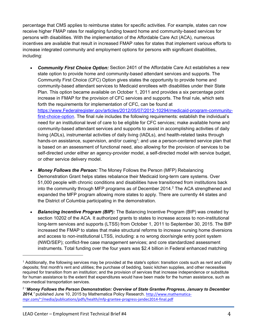percentage that CMS applies to reimburse states for specific activities. For example, states can now receive higher FMAP rates for realigning funding toward home and community-based services for persons with disabilities. With the implementation of the Affordable Care Act (ACA), numerous incentives are available that result in increased FMAP rates for states that implement various efforts to increase integrated community and employment options for persons with significant disabilities, including:

- *Community First Choice Option:* Section 2401 of the Affordable Care Act establishes a new state option to provide home and community-based attendant services and supports. The Community First Choice (CFC) Option gives states the opportunity to provide home and community-based attendant services to Medicaid enrollees with disabilities under their State Plan. This option became available on October 1, 2011 and provides a six percentage point increase in FMAP for the provision of CFC services and supports. The final rule, which sets forth the requirements for implementation of CFC, can be found at [https://www.Federalregister.gov/articles/2012/05/07/2012-10294/medicaid-program-community](https://www.federalregister.gov/articles/2012/05/07/2012-10294/medicaid-program-community-first-choice-option)[first-choice-option.](https://www.federalregister.gov/articles/2012/05/07/2012-10294/medicaid-program-community-first-choice-option) The final rule includes the following requirements: establish the individual's need for an institutional level of care to be eligible for CFC services; make available home and community-based attendant services and supports to assist in accomplishing activities of daily living (ADLs), instrumental activities of daily living (IADLs), and health-related tasks through hands-on assistance, supervision, and/or cueing<sup>1</sup>; and use a person-centered service plan that is based on an assessment of functional need, also allowing for the provision of services to be self-directed under either an agency-provider model, a self-directed model with service budget, or other service delivery model.
- *Money Follows the Person:* The Money Follows the Person (MFP) Rebalancing Demonstration Grant helps states rebalance their Medicaid long-term care systems. Over 51,000 people with chronic conditions and disabilities have transitioned from institutions back into the community through MFP programs as of December 2014.<sup>2</sup> The ACA strengthened and expanded the MFP program allowing more states to apply. There are currently 44 states and the District of Columbia participating in the demonstration.
- **Balancing Incentive Program (BIP):** The Balancing Incentive Program (BIP) was created by section 10202 of the ACA. It authorized grants to states to increase access to non-institutional long-term services and supports (LTSS) from October 1, 2011 to September 30, 2015. The BIP increased the FMAP to states that make structural reforms to increase nursing home diversions and access to non-institutional LTSS, including: a no wrong door/single entry point system (NWD/SEP); conflict-free case management services; and core standardized assessment instruments. Total funding over the four years was \$2.4 billion in Federal enhanced matching

 $\overline{\phantom{a}}$ 

 $<sup>1</sup>$  Additionally, the following services may be provided at the state's option: transition costs such as rent and utility</sup> deposits; first month's rent and utilities; the purchase of bedding, basic kitchen supplies, and other necessities required for transition from an institution; and the provision of services that increase independence or substitute for human assistance to the extent that expenditures would have been made for the human assistance, such as non-medical transportation services.

<sup>2 &</sup>quot;*Money Follows the Person Demonstration: Overview of State Grantee Progress, January to December 2014,"* published June 10, 2015 by Mathematica Policy Research. [http://www.mathematica](http://www.mathematica-mpr.com/%7E/media/publications/pdfs/health/mfp-grantee-progress-jandec2014-final.pdf)[mpr.com/~/media/publications/pdfs/health/mfp-grantee-progress-jandec2014-final.pdf](http://www.mathematica-mpr.com/%7E/media/publications/pdfs/health/mfp-grantee-progress-jandec2014-final.pdf)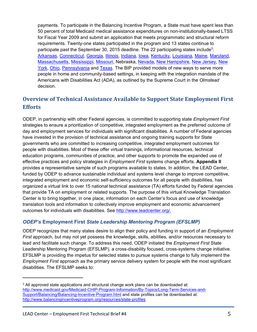payments. To participate in the Balancing Incentive Program, a State must have spent less than 50 percent of total Medicaid medical assistance expenditures on non-institutionally-based LTSS for Fiscal Year 2009 and submit an application that meets programmatic and structural reform requirements. Twenty-one states participated in the program and 13 states continue to participate past the September 30, 2015 deadline. The 22 participating states include<sup>3</sup>: [Arkansas,](http://www.balancingincentiveprogram.org/state-activities/arkansas) [Connecticut,](http://www.balancingincentiveprogram.org/state-activities/connecticut) [Georgia,](http://www.balancingincentiveprogram.org/state-activities/georgia) [Illinois,](http://www.balancingincentiveprogram.org/state-activities/illinois) [Indiana,](http://www.balancingincentiveprogram.org/state-activities/indiana) [Iowa,](http://www.balancingincentiveprogram.org/state-activities/iowa) [Kentucky,](http://www.balancingincentiveprogram.org/state-activities/kentucky) [Louisiana,](http://www.balancingincentiveprogram.org/state-activities/louisiana) [Maine,](http://www.balancingincentiveprogram.org/state-activities/maine) [Maryland,](http://www.balancingincentiveprogram.org/state-activities/maryland) [Massachusetts,](http://www.balancingincentiveprogram.org/state-activities/massachusetts) [Mississippi,](http://www.balancingincentiveprogram.org/state-activities/mississippi) [Missouri,](http://www.balancingincentiveprogram.org/state-activities/missouri) Nebraska, [Nevada,](http://www.balancingincentiveprogram.org/state-activities/nevada) [New Hampshire,](http://www.balancingincentiveprogram.org/state-activities/new-hampshire) [New Jersey,](http://www.balancingincentiveprogram.org/state-activities/new-jersey) [New](http://www.balancingincentiveprogram.org/state-activities/new-york)  [York,](http://www.balancingincentiveprogram.org/state-activities/new-york) [Ohio,](http://www.balancingincentiveprogram.org/state-activities/ohio) [Pennsylvania](http://www.balancingincentiveprogram.org/state-activities/pennsylvania) and [Texas.](http://www.balancingincentiveprogram.org/state-activities/texas) The BIP provided models of new ways to serve more people in home and community-based settings, in keeping with the integration mandate of the Americans with Disabilities Act (ADA), as outlined by the Supreme Court in the *Olmstead* decision.

## **Overview of Technical Assistance Available to Support State Employment First Efforts**

ODEP, in partnership with other Federal agencies, is committed to supporting state *Employment First*  strategies to ensure a prioritization of competitive, integrated employment as the preferred outcome of day and employment services for individuals with significant disabilities. A number of Federal agencies have invested in the provision of technical assistance and ongoing training supports for State governments who are committed to increasing competitive, integrated employment outcomes for people with disabilities. Most of these offer virtual trainings, informational resources, technical education programs, communities of practice, and other supports to promote the expanded use of effective practices and policy strategies in *Employment First* systems change efforts. **Appendix II** provides a representative sample of such programs available to states. In addition, the LEAD Center, funded by ODEP to advance sustainable individual and systems level change to improve competitive, integrated employment and economic self-sufficiency outcomes for all people with disabilities, has organized a virtual link to over 15 national technical assistance (TA) efforts funded by Federal agencies that provide TA on employment or related supports. The purpose of this virtual Knowledge Translation Center is to bring together, in one place, information on each Center's focus and use of knowledge translation tools and information to collectively improve employment and economic advancement outcomes for individuals with disabilities. See <http://www.leadcenter.org/>*.* 

#### *ODEP's* **Employment First** *State Leadership Mentoring Program (EFSLMP)*

ODEP recognizes that many states desire to align their policy and funding in support of an *Employment First* approach, but may not yet possess the knowledge, skills, abilities, and/or resources necessary to lead and facilitate such change. To address this need, ODEP initiated the *Employment First* State Leadership Mentoring Program (EFSLMP), a cross-disability focused, cross-systems change initiative. EFSLMP is providing the impetus for selected states to pursue systems change to fully implement the *Employment First* approach as the primary service delivery system for people with the most significant disabilities. The EFSLMP seeks to:

l

<sup>&</sup>lt;sup>3</sup> All approved state applications and structural change work plans can be downloaded at: [http://www.medicaid.gov/Medicaid-CHIP-Program-Information/By-Topics/Long-Term-Services-and-](http://www.medicaid.gov/Medicaid-CHIP-Program-Information/By-Topics/Long-Term-Services-and-Support/Balancing/Balancing-Incentive-Program.html)[Support/Balancing/Balancing-Incentive-Program.html](http://www.medicaid.gov/Medicaid-CHIP-Program-Information/By-Topics/Long-Term-Services-and-Support/Balancing/Balancing-Incentive-Program.html) and state profiles can be downloaded at: <http://www.balancingincentiveprogram.org/resources/state-profiles>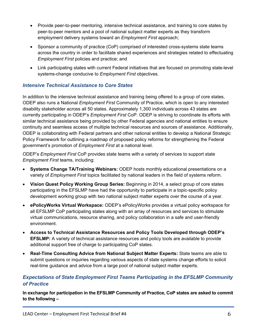- Provide peer-to-peer mentoring, intensive technical assistance, and training to core states by peer-to-peer mentors and a pool of national subject matter experts as they transform employment delivery systems toward an *Employment First* approach;
- Sponsor a community of practice (CoP) comprised of interested cross-systems state teams across the country in order to facilitate shared experiences and strategies related to effectuating *Employment First* policies and practice; and
- Link participating states with current Federal initiatives that are focused on promoting state-level systems-change conducive to *Employment First* objectives.

#### *Intensive Technical Assistance to Core States*

In addition to the intensive technical assistance and training being offered to a group of core states, ODEP also runs a National *Employment First* Community of Practice, which is open to any interested disability stakeholder across all 50 states. Approximately 1,300 individuals across 43 states are currently participating in ODEP's *Employment First* CoP. ODEP is striving to coordinate its efforts with similar technical assistance being provided by other Federal agencies and national entities to ensure continuity and seamless access of multiple technical resources and sources of assistance. Additionally, ODEP is collaborating with Federal partners and other national entities to develop a National Strategic Policy Framework for outlining a roadmap of proposed policy reforms for strengthening the Federal government's promotion of *Employment First* at a national level.

ODEP's *Employment First* CoP provides state teams with a variety of services to support state *Employment First* teams, including:

- **Systems Change TA/Training Webinars:** ODEP hosts monthly educational presentations on a variety of *Employment First* topics facilitated by national leaders in the field of systems reform.
- **Vision Quest Policy Working Group Series:** Beginning in 2014, a select group of core states participating in the EFSLMP have had the opportunity to participate in a topic-specific policy development working group with two national subject matter experts over the course of a year.
- **ePolicyWorks Virtual Workspace:** ODEP's ePolicyWorks provides a virtual policy workspace for all EFSLMP CoP participating states along with an array of resources and services to stimulate virtual communications, resource sharing, and policy collaboration in a safe and user-friendly environment.
- **Access to Technical Assistance Resources and Policy Tools Developed through ODEP's EFSLMP:** A variety of technical assistance resources and policy tools are available to provide additional support free of charge to participating CoP states.
- **Real-Time Consulting Advice from National Subject Matter Experts:** State teams are able to submit questions or inquiries regarding various aspects of state systems change efforts to solicit real-time guidance and advice from a large pool of national subject matter experts.

#### *Expectations of State Employment First Teams Participating in the EFSLMP Community of Practice*

**In exchange for participation in the EFSLMP Community of Practice, CoP states are asked to commit to the following –**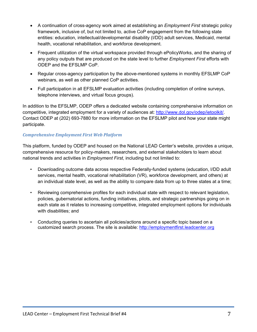- A continuation of cross-agency work aimed at establishing an *Employment First* strategic policy framework, inclusive of, but not limited to, active CoP engagement from the following state entities: education, intellectual/developmental disability (I/DD) adult services, Medicaid, mental health, vocational rehabilitation, and workforce development.
- Frequent utilization of the virtual workspace provided through ePolicyWorks, and the sharing of any policy outputs that are produced on the state level to further *Employment First* efforts with ODEP and the EFSLMP CoP.
- Regular cross-agency participation by the above-mentioned systems in monthly EFSLMP CoP webinars, as well as other planned CoP activities.
- Full participation in all EFSLMP evaluation activities (including completion of online surveys, telephone interviews, and virtual focus groups).

In addition to the EFSLMP, ODEP offers a dedicated website containing comprehensive information on competitive, integrated employment for a variety of audiences at: [http://www.dol.gov/odep/ietoolkit/.](http://www.dol.gov/odep/ietoolkit/) Contact ODEP at (202) 693-7880 for more information on the EFSLMP pilot and how your state might participate.

#### *Comprehensive Employment First Web Platform*

This platform, funded by ODEP and housed on the National LEAD Center's website, provides a unique, comprehensive resource for policy-makers, researchers, and external stakeholders to learn about national trends and activities in *Employment First*, including but not limited to:

- Downloading outcome data across respective Federally-funded systems (education, I/DD adult services, mental health, vocational rehabilitation (VR), workforce development, and others) at an individual state level, as well as the ability to compare data from up to three states at a time;
- Reviewing comprehensive profiles for each individual state with respect to relevant legislation, policies, gubernatorial actions, funding initiatives, pilots, and strategic partnerships going on in each state as it relates to increasing competitive, integrated employment options for individuals with disabilities; and
- Conducting queries to ascertain all policies/actions around a specific topic based on a customized search process. The site is available: [http://employmentfirst.leadcenter.org](http://employmentfirst.leadcenter.org/)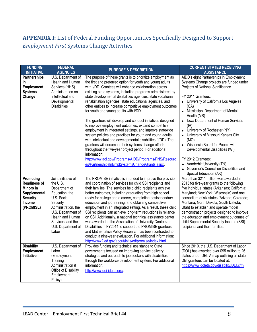## **APPENDIX I:** List of Federal Funding Opportunities Specifically Designed to Support *Employment First* Systems Change Activities

| <b>FUNDING</b><br><b>INITIATIVE</b>                                                                                          | <b>FEDERAL</b><br><b>AGENCIES</b>                                                                                                                                                                                                        | <b>PURPOSE &amp; DESCRIPTION</b>                                                                                                                                                                                                                                                                                                                                                                                                                                                                                                                                                                                                                                                                                                                                                                                                                                                                                                                                                                                                          | <b>CURRENT STATES RECEIVING</b><br><b>ASSISTANCE</b>                                                                                                                                                                                                                                                                                                                                                                                                                                                                                                                                                                     |
|------------------------------------------------------------------------------------------------------------------------------|------------------------------------------------------------------------------------------------------------------------------------------------------------------------------------------------------------------------------------------|-------------------------------------------------------------------------------------------------------------------------------------------------------------------------------------------------------------------------------------------------------------------------------------------------------------------------------------------------------------------------------------------------------------------------------------------------------------------------------------------------------------------------------------------------------------------------------------------------------------------------------------------------------------------------------------------------------------------------------------------------------------------------------------------------------------------------------------------------------------------------------------------------------------------------------------------------------------------------------------------------------------------------------------------|--------------------------------------------------------------------------------------------------------------------------------------------------------------------------------------------------------------------------------------------------------------------------------------------------------------------------------------------------------------------------------------------------------------------------------------------------------------------------------------------------------------------------------------------------------------------------------------------------------------------------|
| <b>Partnerships</b><br>in<br>Employment<br><b>Systems</b><br>Change                                                          | U.S. Department of<br>Health and Human<br>Services (HHS)<br>Administration on<br>Intellectual and<br>Developmental<br><b>Disabilities</b>                                                                                                | The purpose of these grants is to prioritize employment as<br>the first and preferred option for youth and young adults<br>with I/DD. Grantees will enhance collaboration across<br>existing state systems, including programs administered by<br>state developmental disabilities agencies, state vocational<br>rehabilitation agencies, state educational agencies, and<br>other entities to increase competitive employment outcomes<br>for youth and young adults with I/DD.<br>The grantees will develop and conduct initiatives designed<br>to improve employment outcomes, expand competitive<br>employment in integrated settings, and improve statewide<br>system policies and practices for youth and young adults<br>with intellectual and developmental disabilities (I/DD). The<br>grantees will document their systems change efforts<br>throughout the five-year project period. For additional<br>information:<br>http://www.acl.gov/Programs/AIDD/Programs/PNS/Resourc<br>es/PartnershipsInEmplSystemsChangeGrants.aspx. | AIDD's eight Partnerships in Employment<br>Systems Change projects are funded under<br>Projects of National Significance.<br>FY 2011 Grantees:<br>• University of California Los Angeles<br>(CA)<br>Mississippi Department of Mental<br>$\bullet$<br>Health (MS)<br>Iowa Department of Human Services<br>$\bullet$<br>(IA)<br>University of Rochester (NY)<br>$\bullet$<br>University of Missouri Kansas City<br>(MO)<br>• Wisconsin Board for People with<br>Developmental Disabilities (WI)<br>FY 2012 Grantees:<br>• Vanderbilt University (TN)<br>• Governor's Council on Disabilities and<br>Special Education (AK) |
| Promoting<br><b>Readiness of</b><br>Minors in<br>Supplemental<br><b>Security</b><br>Income<br>(PROMISE)<br><b>Disability</b> | Joint initiative of<br>the U.S.<br>Department of<br>Education, the<br>U.S. Social<br>Security<br>Administration, the<br>U.S. Department of<br>Health and Human<br>Services, and the<br>U.S. Department of<br>Labor<br>U.S. Department of | The PROMISE initiative is intended to improve the provision<br>and coordination of services for child SSI recipients and<br>their families. The services help child recipients achieve<br>better outcomes, including graduating from high school<br>ready for college and a career, completing postsecondary<br>education and job training, and obtaining competitive<br>employment in an integrated setting. As a result, these child<br>SSI recipients can achieve long-term reductions in reliance<br>on SSI. Additionally, a national technical assistance center<br>was awarded to the Association of University Centers on<br>Disabilities in FY2014 to support the PROMISE grantees<br>and Mathematica Policy Research has been contracted to<br>conduct a nine-year evaluation. For additional information:<br>http://www2.ed.gov/about/inits/ed/promise/index.html.<br>Provides funding and technical assistance to State                                                                                                        | More than \$211 million was awarded in<br>2013 for five-year grants to the following<br>five individual states (Arkansas; California;<br>Maryland; New York; Wisconsin) and one<br>consortium of six states (Arizona; Colorado;<br>Montana; North Dakota; South Dakota;<br>Utah) to establish and operate model<br>demonstration projects designed to improve<br>the education and employment outcomes of<br>child Supplemental Security Income (SSI)<br>recipients and their families.<br>Since 2010, the U.S. Department of Labor                                                                                      |
| Employment<br>Initiative                                                                                                     | Labor<br>(Employment<br>Training<br>Administration &<br>Office of Disability<br>Employment<br>Policy)                                                                                                                                    | governments focused on improving service delivery<br>strategies and outreach to job seekers with disabilities<br>through the workforce development system. For additional<br>information:<br>http://www.dei-ideas.org/.                                                                                                                                                                                                                                                                                                                                                                                                                                                                                                                                                                                                                                                                                                                                                                                                                   | (DOL) has awarded over \$95 million to 26<br>states under DEI. A map outlining all state<br>DEI grantees can be located at:<br>https://www.doleta.gov/disability/DEI.cfm.                                                                                                                                                                                                                                                                                                                                                                                                                                                |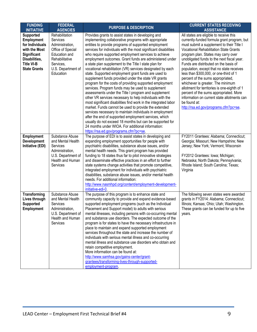| <b>FUNDING</b><br><b>INITIATIVE</b>                                                                                                                   | <b>FEDERAL</b><br><b>AGENCIES</b>                                                                                                                     | <b>PURPOSE &amp; DESCRIPTION</b>                                                                                                                                                                                                                                                                                                                                                                                                                                                                                                                                                                                                                                                                                                                                                                                                                                                                                                                                                                                                                                                                                                                                                                                                             | <b>CURRENT STATES RECEIVING</b><br><b>ASSISTANCE</b>                                                                                                                                                                                                                                                                                                                                                                                                                                                                                                                                                                                                                                  |
|-------------------------------------------------------------------------------------------------------------------------------------------------------|-------------------------------------------------------------------------------------------------------------------------------------------------------|----------------------------------------------------------------------------------------------------------------------------------------------------------------------------------------------------------------------------------------------------------------------------------------------------------------------------------------------------------------------------------------------------------------------------------------------------------------------------------------------------------------------------------------------------------------------------------------------------------------------------------------------------------------------------------------------------------------------------------------------------------------------------------------------------------------------------------------------------------------------------------------------------------------------------------------------------------------------------------------------------------------------------------------------------------------------------------------------------------------------------------------------------------------------------------------------------------------------------------------------|---------------------------------------------------------------------------------------------------------------------------------------------------------------------------------------------------------------------------------------------------------------------------------------------------------------------------------------------------------------------------------------------------------------------------------------------------------------------------------------------------------------------------------------------------------------------------------------------------------------------------------------------------------------------------------------|
| <b>Supported</b><br><b>Employment</b><br>for Individuals<br>with the Most<br>Significant<br>Disabilities,<br><b>Title VI-B</b><br><b>State Grants</b> | Rehabilitation<br>Services<br>Administration,<br>Office of Special<br>Education and<br>Rehabilitative<br>Services,<br>U.S. Department of<br>Education | Provides grants to assist states in developing and<br>implementing collaborative programs with appropriate<br>entities to provide programs of supported employment<br>services for individuals with the most significant disabilities<br>who require supported employment services to achieve<br>employment outcomes. Grant funds are administered under<br>a state plan supplement to the Title I state plan for<br>vocational rehabilitation (VR) services designated by each<br>state. Supported employment grant funds are used to<br>supplement funds provided under the state VR grants<br>program for the costs of providing supported employment<br>services. Program funds may be used to supplement<br>assessments under the Title I program and supplement<br>other VR services necessary to help individuals with the<br>most significant disabilities find work in the integrated labor<br>market. Funds cannot be used to provide the extended<br>services necessary to maintain individuals in employment<br>after the end of supported employment services, which<br>usually do not exceed 18 months but can be supported for<br>24 months under WIOA. For additional information:<br>https://rsa.ed.gov/programs.cfm?pc=se. | All states are eligible to receive this<br>currently-funded formula grant program, but<br>must submit a supplement to their Title I<br><b>Vocational Rehabilitation State Grants</b><br>program plan. States may carry over<br>unobligated funds to the next fiscal year.<br>Funds are distributed on the basis of<br>population, except that no state receives<br>less than \$300,000, or one-third of 1<br>percent of the sums appropriated,<br>whichever is greater. The minimum<br>allotment for territories is one-eighth of 1<br>percent of the sums appropriated. More<br>information on current state allotments can<br>be found at:<br>http://rsa.ed.gov/programs.cfm?pc=se. |
| <b>Employment</b><br><b>Development</b><br>Initiative (EDI)                                                                                           | Substance Abuse<br>and Mental Health<br>Services<br>Administration,<br>U.S. Department of<br>Health and Human<br>Services                             | The purpose of EDI is to assist states in developing and<br>expanding employment opportunities for people with<br>psychiatric disabilities, substance abuse issues, and/or<br>mental health needs. This grant program has provided<br>funding to 18 states thus far to pilot innovative strategies<br>and disseminate effective practices in an effort to further<br>state systems change activities that promote competitive,<br>integrated employment for individuals with psychiatric<br>disabilities, substance abuse issues, and/or mental health<br>needs. For additional information:<br>http://www.nasmhpd.org/content/employment-development-<br>initiative-edi-0.                                                                                                                                                                                                                                                                                                                                                                                                                                                                                                                                                                  | FY2011 Grantees: Alabama; Connecticut;<br>Georgia; Missouri; New Hampshire; New<br>Jersey; New York; Vermont; Wisconsin<br>FY2012 Grantees: Iowa; Michigan;<br>Nebraska; North Dakota; Pennsylvania;<br>Rhode Island; South Carolina; Texas;<br>Virginia                                                                                                                                                                                                                                                                                                                                                                                                                              |
| Transforming<br>Lives through<br><b>Supported</b><br><b>Employment</b>                                                                                | Substance Abuse<br>and Mental Health<br>Services<br>Administration,<br>U.S. Department of<br>Health and Human<br>Services                             | The purpose of this program is to enhance state and<br>community capacity to provide and expand evidence-based<br>supported employment programs (such as the Individual<br>Placement and Support model) to adults with serious<br>mental illnesses, including persons with co-occurring mental<br>and substance use disorders. The expected outcome of the<br>program is for states to have the necessary infrastructure in<br>place to maintain and expand supported employment<br>services throughout the state and increase the number of<br>individuals with serious mental illness and co-occurring<br>mental illness and substance use disorders who obtain and<br>retain competitive employment.<br>More information can be found at:<br>http://www.samhsa.gov/gains-center/grant-<br>grantees/transforming-lives-through-supported-<br>employment-program.                                                                                                                                                                                                                                                                                                                                                                           | The following seven states were awarded<br>grants in FY2014: Alabama; Connecticut;<br>Illinois; Kansas; Ohio; Utah; Washington.<br>These grants can be funded for up to five<br>years.                                                                                                                                                                                                                                                                                                                                                                                                                                                                                                |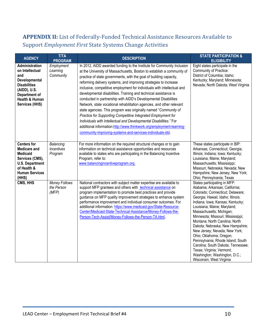## **APPENDIX II:** List of Federally-Funded Technical Assistance Resources Available to Support *Employment First* State Systems Change Activities

| <b>AGENCY</b>                                                                                                                                                | <b>T/TA</b><br><b>PROGRAM</b>             | <b>DESCRIPTION</b>                                                                                                                                                                                                                                                                                                                                                                                                                                                                                                                                                                                                                                                                                                                                                                                                                                                                                                                   | <b>STATE PARTICIPATION &amp;</b><br><b>ELIGIBILITY</b>                                                                                                                                                                                                                                                                                                                                                                                                                                                                                                                             |
|--------------------------------------------------------------------------------------------------------------------------------------------------------------|-------------------------------------------|--------------------------------------------------------------------------------------------------------------------------------------------------------------------------------------------------------------------------------------------------------------------------------------------------------------------------------------------------------------------------------------------------------------------------------------------------------------------------------------------------------------------------------------------------------------------------------------------------------------------------------------------------------------------------------------------------------------------------------------------------------------------------------------------------------------------------------------------------------------------------------------------------------------------------------------|------------------------------------------------------------------------------------------------------------------------------------------------------------------------------------------------------------------------------------------------------------------------------------------------------------------------------------------------------------------------------------------------------------------------------------------------------------------------------------------------------------------------------------------------------------------------------------|
| Administration<br>on Intellectual<br>and<br>Developmental<br><b>Disabilities</b><br>(AIDD), U.S.<br>Department of<br>Health & Human<br><b>Services (HHS)</b> | Employment<br>Learning<br>Community       | In 2012, AIDD awarded funding to the Institute for Community Inclusion<br>at the University of Massachusetts, Boston to establish a community of<br>practice of state governments, with the goal of building capacity,<br>reforming delivery systems, and improving strategies to increase<br>inclusive, competitive employment for individuals with intellectual and<br>developmental disabilities. Training and technical assistance is<br>conducted in partnership with AIDD's Developmental Disabilities<br>Network, state vocational rehabilitation agencies, and other relevant<br>state agencies. This program was originally named "Community of<br>Practice for Supporting Competitive Integrated Employment for<br>Individuals with Intellectual and Developmental Disabilities." For<br>additional information:http://www.thinkwork.org/employment-learning-<br>community-improving-systems-and-services-individuals-idd. | Eight states participate in the<br>Community of Practice:<br>District of Columbia; Idaho;<br>Kentucky; Maryland; Minnesota;<br>Nevada; North Dakota; West Virginia                                                                                                                                                                                                                                                                                                                                                                                                                 |
| <b>Centers for</b><br><b>Medicare and</b><br><b>Medicaid</b><br>Services (CMS),<br><b>U.S. Department</b><br>of Health &<br><b>Human Services</b><br>(HHS)   | Balancing<br><b>Incentives</b><br>Program | For more information on the required structural changes or to gain<br>information on technical assistance opportunities and resources<br>available to states who are participating in the Balancing Incentive<br>Program, refer to:<br>www.balancingincentiveprogram.org                                                                                                                                                                                                                                                                                                                                                                                                                                                                                                                                                                                                                                                             | These states participate in BIP:<br>Arkansas; Connecticut; Georgia;<br>Illinois; Indiana; Iowa; Kentucky;<br>Louisiana; Maine; Maryland;<br>Massachusetts; Mississippi;<br>Missouri; Nebraska; Nevada; New<br>Hampshire; New Jersey; New York;<br>Ohio; Pennsylvania; Texas                                                                                                                                                                                                                                                                                                        |
| CMS, HHS                                                                                                                                                     | Money Follows<br>the Person<br>(MFP)      | National contractors with subject matter expertise are available to<br>support MFP grantees and others with technical assistance on<br>program implementation to promote best practices and provide<br>guidance on MFP quality improvement strategies to enhance system<br>performance improvement and individual consumer outcomes. For<br>additional information: https://www.medicaid.gov/State-Resource-<br>Center/Medicaid-State-Technical-Assistance/Money-Follows-the-<br>Person-Tech-Assist/Money-Follows-the-Person-TA.html.                                                                                                                                                                                                                                                                                                                                                                                                | States participating in MFP:<br>Alabama; Arkansas; California;<br>Colorado; Connecticut; Delaware;<br>Georgia; Hawaii; Idaho; Illinois;<br>Indiana; Iowa; Kansas; Kentucky;<br>Louisiana; Maine; Maryland;<br>Massachusetts; Michigan;<br>Minnesota; Missouri; Mississippi;<br>Montana; North Carolina; North<br>Dakota; Nebraska; New Hampshire;<br>New Jersey; Nevada; New York;<br>Ohio; Oklahoma; Oregon;<br>Pennsylvania; Rhode Island; South<br>Carolina; South Dakota; Tennessee;<br>Texas; Virginia; Vermont;<br>Washington; Washington, D.C.;<br>Wisconsin; West Virginia |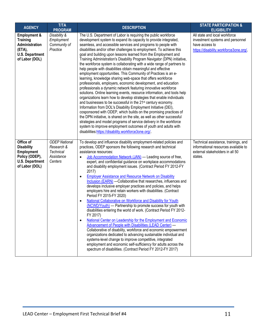| <b>AGENCY</b>                                                                                                                | <b>T/TA</b><br><b>PROGRAM</b>                                            | <b>DESCRIPTION</b>                                                                                                                                                                                                                                                                                                                                                                                                                                                                                                                                                                                                                                                                                                                                                                                                                                                                                                                                                                                                                                                                                                                                                                                                                                                                                                                                                                                                                                                                      | <b>STATE PARTICIPATION &amp;</b><br><b>ELIGIBILITY</b>                                                                        |
|------------------------------------------------------------------------------------------------------------------------------|--------------------------------------------------------------------------|-----------------------------------------------------------------------------------------------------------------------------------------------------------------------------------------------------------------------------------------------------------------------------------------------------------------------------------------------------------------------------------------------------------------------------------------------------------------------------------------------------------------------------------------------------------------------------------------------------------------------------------------------------------------------------------------------------------------------------------------------------------------------------------------------------------------------------------------------------------------------------------------------------------------------------------------------------------------------------------------------------------------------------------------------------------------------------------------------------------------------------------------------------------------------------------------------------------------------------------------------------------------------------------------------------------------------------------------------------------------------------------------------------------------------------------------------------------------------------------------|-------------------------------------------------------------------------------------------------------------------------------|
| <b>Employment &amp;</b><br><b>Training</b><br><b>Administration</b><br>$(ETA)$ ,<br><b>U.S. Department</b><br>of Labor (DOL) | Disability &<br>Employment<br>Community of<br>Practice                   | The U.S. Department of Labor is requiring the public workforce<br>development system to expand its capacity to provide integrated,<br>seamless, and accessible services and programs to people with<br>disabilities and/or other challenges to employment. To achieve this<br>goal and building upon lessons learned from the Employment and<br>Training Administration's Disability Program Navigator (DPN) initiative,<br>the workforce system is collaborating with a wide range of partners to<br>help people with disabilities obtain meaningful and effective<br>employment opportunities. This Community of Practices is an e-<br>learning, knowledge sharing web-space that offers workforce<br>professionals, employers, economic development, and education<br>professionals a dynamic network featuring innovative workforce<br>solutions. Online learning events, resource information, and tools help<br>organizations learn how to develop strategies that enable individuals<br>and businesses to be successful in the 21 <sup>st</sup> century economy.<br>Information from DOL's Disability Employment Initiative (DEI),<br>cosponsored with ODEP, which builds on the promising practices of<br>the DPN initiative, is shared on the site, as well as other successful<br>strategies and model programs of service delivery in the workforce<br>system to improve employment outcomes of youth and adults with<br>disabilities:https://disability.workforce3one.org/. | All state and local workforce<br>investment systems and personnel<br>have access to<br>https://disability.workforce3one.org/. |
| Office of<br><b>Disability</b><br><b>Employment</b><br>Policy (ODEP),<br><b>U.S. Department</b><br>of Labor (DOL)            | <b>ODEP National</b><br>Research &<br>Technical<br>Assistance<br>Centers | To develop and influence disability employment-related policies and<br>practices, ODEP sponsors the following research and technical<br>assistance resources:<br>Job Accommodation Network (JAN) - Leading source of free,<br>expert, and confidential guidance on workplace accommodations<br>and disability employment issues. (Contract Period FY 2012-FY<br>2017)<br><b>Employer Assistance and Resource Network on Disability</b><br>$\bullet$<br>Inclusion (EARN) - Collaborative that researches, influences and<br>develops inclusive employer practices and policies, and helps<br>employers hire and retain workers with disabilities. (Contract<br>Period FY 2015-FY 2020)<br>National Collaborative on Workforce and Disability for Youth<br>$\bullet$<br>(NCWD/Youth) - Partnership to promote success for youth with<br>disabilities entering the world of work. (Contract Period FY 2012-<br>FY 2017)<br>National Center on Leadership for the Employment and Economic<br>$\bullet$<br>Advancement of People with Disabilities (LEAD Center) -<br>Collaborative of disability, workforce and economic empowerment<br>organizations dedicated to advancing sustainable individual and<br>systems-level change to improve competitive, integrated<br>employment and economic self-sufficiency for adults across the<br>spectrum of disabilities. (Contract Period FY 2012-FY 2017)                                                                                         | Technical assistance, trainings, and<br>informational resources available to<br>external stakeholders in all 50<br>states.    |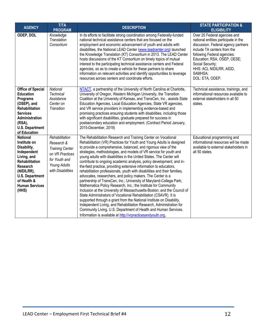| <b>AGENCY</b>                                                                                                                                                                                                     | <b>T/TA</b><br><b>PROGRAM</b>                                                                                                   | <b>DESCRIPTION</b>                                                                                                                                                                                                                                                                                                                                                                                                                                                                                                                                                                                                                                                                                                                                                                                                                                                                                                                                                                                                                                                                                                                                                                                                    | <b>STATE PARTICIPATION &amp;</b><br><b>ELIGIBILITY</b>                                                                                                                                                                                                                                |
|-------------------------------------------------------------------------------------------------------------------------------------------------------------------------------------------------------------------|---------------------------------------------------------------------------------------------------------------------------------|-----------------------------------------------------------------------------------------------------------------------------------------------------------------------------------------------------------------------------------------------------------------------------------------------------------------------------------------------------------------------------------------------------------------------------------------------------------------------------------------------------------------------------------------------------------------------------------------------------------------------------------------------------------------------------------------------------------------------------------------------------------------------------------------------------------------------------------------------------------------------------------------------------------------------------------------------------------------------------------------------------------------------------------------------------------------------------------------------------------------------------------------------------------------------------------------------------------------------|---------------------------------------------------------------------------------------------------------------------------------------------------------------------------------------------------------------------------------------------------------------------------------------|
| ODEP, DOL                                                                                                                                                                                                         | Knowledge<br>Translation<br>Consortium                                                                                          | In its efforts to facilitate strong coordination among Federally-funded<br>national technical assistance centers that are focused on the<br>employment and economic advancement of youth and adults with<br>disabilities, the National LEAD Center (www.leadcenter.org) launched<br>the Knowledge Translation (KT) Consortium in 2013. The LEAD Center<br>hosts discussions of the KT Consortium on timely topics of mutual<br>interest to the participating technical assistance centers and Federal<br>agencies, so as to create a vehicle for these partners to share<br>information on relevant activities and identify opportunities to leverage<br>resources across centers and coordinate efforts.                                                                                                                                                                                                                                                                                                                                                                                                                                                                                                             | Over 20 Federal agencies and<br>national entities participate in the<br>discussion. Federal agency partners<br>include TA centers from the<br>following Federal agencies:<br>Education: RSA, OSEP, OESE;<br>Social Security;<br>HHS: ACL NIDILRR, AIDD,<br>SAMHSA;<br>DOL: ETA, ODEP. |
| <b>Office of Special</b><br><b>Education</b><br>Programs<br>(OSEP), and<br><b>Rehabilitation</b><br><b>Services</b><br>Administration<br>(RSA),<br><b>U.S. Department</b><br>of Education                         | National<br>Technical<br>Assistance<br>Center on<br><b>Transition</b>                                                           | NTACT, a partnership of the University of North Carolina at Charlotte,<br>University of Oregon, Western Michigan University, the Transition<br>Coalition at the University of Kansas, and TransCen, Inc, assists State<br>Education Agencies, Local Education Agencies, State VR agencies,<br>and VR service providers in implementing evidence-based and<br>promising practices ensuring students with disabilities, including those<br>with significant disabilities, graduate prepared for success in<br>postsecondary education and employment. (Contract Period January,<br>2015-December, 2019)                                                                                                                                                                                                                                                                                                                                                                                                                                                                                                                                                                                                                 | Technical assistance, trainings, and<br>informational resources available to<br>external stakeholders in all 50<br>states.                                                                                                                                                            |
| <b>National</b><br>Institute on<br>Disability,<br>Independent<br>Living, and<br><b>Rehabilitation</b><br><b>Research</b><br>(NIDILRR),<br><b>U.S. Department</b><br>of Health &<br><b>Human Services</b><br>(HHS) | Rehabilitation<br>Research &<br><b>Training Center</b><br>on VR Practices<br>for Youth and<br>Young Adults<br>with Disabilities | The Rehabilitation Research and Training Center on Vocational<br>Rehabilitation (VR) Practices for Youth and Young Adults is designed<br>to provide a comprehensive, balanced, and rigorous view of the<br>strategies, methodologies, and models of VR service for youth and<br>young adults with disabilities in the United States. The Center will<br>contribute to ongoing academic analysis, policy development, and in-<br>the-field practice, providing extensive information to educators,<br>rehabilitation professionals, youth with disabilities and their families,<br>advocates, researchers, and policy makers. The Center is a<br>partnership of TransCen, Inc.; University of Maryland-College Park;<br>Mathematica Policy Research, Inc.; the Institute for Community<br>Inclusion at the University of Massachusetts-Boston; and the Council of<br>State Administrators of Vocational Rehabilitation (CSAVR). It is<br>supported through a grant from the National Institute on Disability,<br>Independent Living, and Rehabilitation Research, Administration for<br>Community Living, U.S. Department of Health and Human Services.<br>Information is available at http://vrpracticesandyouth.org. | Educational programming and<br>informational resources will be made<br>available to external stakeholders in<br>all 50 states.                                                                                                                                                        |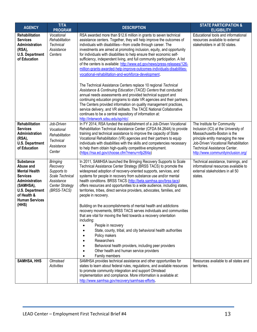| <b>AGENCY</b>                                                                                                                                                                      | <b>T/TA</b><br><b>PROGRAM</b>                                                                                        | <b>DESCRIPTION</b>                                                                                                                                                                                                                                                                                                                                                                                                                                                                                                                                                                                                                                                                                                                                                                                                                                                                                                                                                                                                                                                                                                                          | <b>STATE PARTICIPATION &amp;</b><br><b>ELIGIBILITY</b>                                                                                                                                                                                                       |
|------------------------------------------------------------------------------------------------------------------------------------------------------------------------------------|----------------------------------------------------------------------------------------------------------------------|---------------------------------------------------------------------------------------------------------------------------------------------------------------------------------------------------------------------------------------------------------------------------------------------------------------------------------------------------------------------------------------------------------------------------------------------------------------------------------------------------------------------------------------------------------------------------------------------------------------------------------------------------------------------------------------------------------------------------------------------------------------------------------------------------------------------------------------------------------------------------------------------------------------------------------------------------------------------------------------------------------------------------------------------------------------------------------------------------------------------------------------------|--------------------------------------------------------------------------------------------------------------------------------------------------------------------------------------------------------------------------------------------------------------|
| <b>Rehabilitation</b><br><b>Services</b><br>Administration<br>(RSA),<br><b>U.S. Department</b><br>of Education                                                                     | Vocational<br>Rehabilitation<br>Technical<br>Assistance<br>Centers                                                   | RSA awarded more than \$12.6 million in grants to seven technical<br>assistance centers. Together, they will help improve the outcomes of<br>individuals with disabilities-from cradle through career. The<br>investments are aimed at promoting inclusion, equity, and opportunity<br>for individuals with disabilities to help ensure their economic self-<br>sufficiency, independent living, and full community participation. A list<br>of the centers is available: http://www.ed.gov/news/press-releases/126-<br>million-grants-awarded-help-improve-outcomes-individuals-disabilities-<br>vocational-rehabilitation-and-workforce-development.<br>The Technical Assistance Centers replace 10 regional Technical<br>Assistance & Continuing Education (TACE) Centers that conducted<br>annual needs assessments and provided technical support and<br>continuing education programs to state VR agencies and their partners.<br>The Centers provided information on quality management practices,<br>service delivery, and VR skillsets. The TACE National Collaborative<br>continues to be a central repository of information at: | Educational tools and informational<br>resources available to external<br>stakeholders in all 50 states.                                                                                                                                                     |
| <b>Rehabilitation</b><br><b>Services</b><br>Administration<br>(RSA),<br><b>U.S. Department</b><br>of Education                                                                     | Job-Driven<br>Vocational<br>Rehabilitation<br><b>Technical</b><br>Assistance<br>Center                               | http://interwork.sdsu.edu/sp/ntc/.<br>In FY 2014, RSA funded the establishment of a Job-Driven Vocational<br>Rehabilitation Technical Assistance Center (CFDA 84.264A) to provide<br>training and technical assistance to improve the capacity of State<br>Vocational Rehabilitation (VR) agencies and their partners to equip<br>individuals with disabilities with the skills and competencies necessary<br>to help them obtain high-quality competitive employment.<br>(https://rsa.ed.gov/choose.cfm?menu=nfp264a)                                                                                                                                                                                                                                                                                                                                                                                                                                                                                                                                                                                                                      | The Institute for Community<br>Inclusion (ICI) at the University of<br>Massachusetts-Boston is the<br>principle entity managing the new<br>Job-Driven Vocational Rehabilitation<br><b>Technical Assistance Center.</b><br>http://www.communityinclusion.org/ |
| <b>Substance</b><br>Abuse and<br><b>Mental Health</b><br><b>Services</b><br>Administration<br>(SAMHSA),<br><b>U.S. Department</b><br>of Health &<br><b>Human Services</b><br>(HHS) | <b>Bringing</b><br>Recovery<br>Supports to<br>Scale Technical<br>Assistance<br><b>Center Strategy</b><br>(BRSS-TACS) | In 2011, SAMHSA launched the Bringing Recovery Supports to Scale<br>Technical Assistance Center Strategy (BRSS TACS) to promote the<br>widespread adoption of recovery-oriented supports, services, and<br>systems for people in recovery from substance use and/or mental<br>health conditions. BRSS TACS (http://beta.samhsa.gov/brss-tacs)<br>offers resources and opportunities to a wide audience, including states,<br>territories, tribes, direct service providers, advocates, families, and<br>people in recovery.<br>Building on the accomplishments of mental health and addictions<br>recovery movements, BRSS TACS serves individuals and communities<br>that are vital for moving the field towards a recovery orientation<br>including:<br>People in recovery<br>State, county, tribal, and city behavioral health authorities<br>Policy makers<br>Researchers<br>Behavioral health providers, including peer providers<br>Other health and human service providers<br>Family members                                                                                                                                        | Technical assistance, trainings, and<br>informational resources available to<br>external stakeholders in all 50<br>states.                                                                                                                                   |
| <b>SAMHSA, HHS</b>                                                                                                                                                                 | Olmstead<br>Activities                                                                                               | SAMHSA provides technical assistance and other opportunities for<br>states to learn about federal rules, regulations, and available resources<br>to promote community integration and support Olmstead<br>implementation and compliance. More information is available at:<br>http://www.samhsa.gov/recovery/samhsas-efforts.                                                                                                                                                                                                                                                                                                                                                                                                                                                                                                                                                                                                                                                                                                                                                                                                               | Resources available to all states and<br>territories.                                                                                                                                                                                                        |